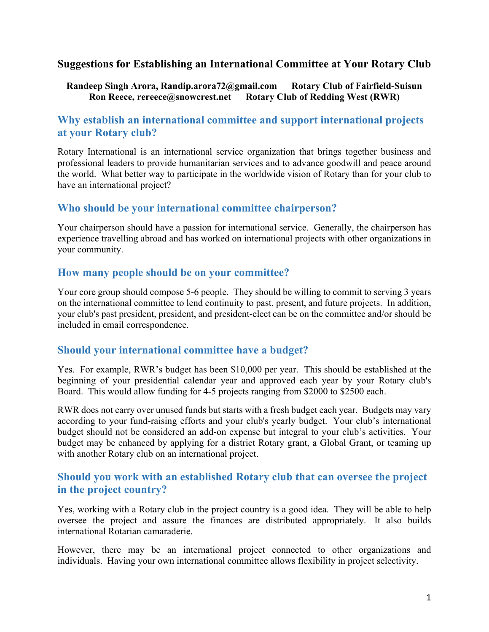### **Suggestions for Establishing an International Committee at Your Rotary Club**

#### **Randeep Singh Arora, Randip.arora72@gmail.com Rotary Club of Fairfield-Suisun**  Ron Reece, rereece@snowcrest.net Rotary Club of Redding West (RWR)

# **Why establish an international committee and support international projects at your Rotary club?**

Rotary International is an international service organization that brings together business and professional leaders to provide humanitarian services and to advance goodwill and peace around the world. What better way to participate in the worldwide vision of Rotary than for your club to have an international project?

#### **Who should be your international committee chairperson?**

Your chairperson should have a passion for international service. Generally, the chairperson has experience travelling abroad and has worked on international projects with other organizations in your community.

#### **How many people should be on your committee?**

Your core group should compose 5-6 people. They should be willing to commit to serving 3 years on the international committee to lend continuity to past, present, and future projects. In addition, your club's past president, president, and president-elect can be on the committee and/or should be included in email correspondence.

### **Should your international committee have a budget?**

Yes. For example, RWR's budget has been \$10,000 per year. This should be established at the beginning of your presidential calendar year and approved each year by your Rotary club's Board. This would allow funding for 4-5 projects ranging from \$2000 to \$2500 each.

RWR does not carry over unused funds but starts with a fresh budget each year. Budgets may vary according to your fund-raising efforts and your club's yearly budget. Your club's international budget should not be considered an add-on expense but integral to your club's activities. Your budget may be enhanced by applying for a district Rotary grant, a Global Grant, or teaming up with another Rotary club on an international project.

### **Should you work with an established Rotary club that can oversee the project in the project country?**

Yes, working with a Rotary club in the project country is a good idea. They will be able to help oversee the project and assure the finances are distributed appropriately. It also builds international Rotarian camaraderie.

However, there may be an international project connected to other organizations and individuals. Having your own international committee allows flexibility in project selectivity.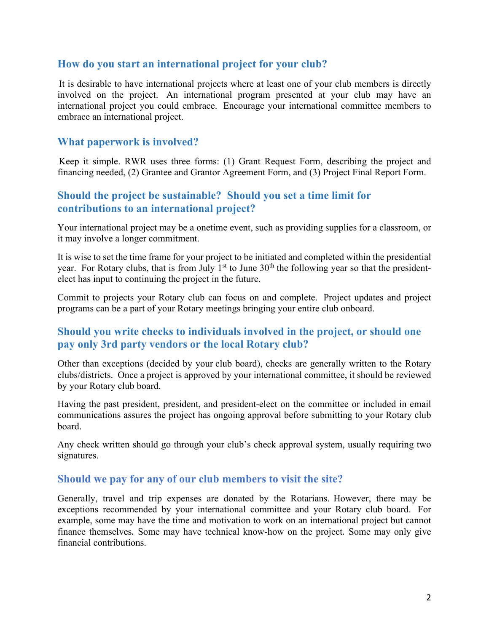### **How do you start an international project for your club?**

It is desirable to have international projects where at least one of your club members is directly involved on the project. An international program presented at your club may have an international project you could embrace. Encourage your international committee members to embrace an international project.

#### **What paperwork is involved?**

Keep it simple. RWR uses three forms: (1) Grant Request Form, describing the project and financing needed, (2) Grantee and Grantor Agreement Form, and (3) Project Final Report Form.

### **Should the project be sustainable? Should you set a time limit for contributions to an international project?**

Your international project may be a onetime event, such as providing supplies for a classroom, or it may involve a longer commitment.

It is wise to set the time frame for your project to be initiated and completed within the presidential year. For Rotary clubs, that is from July  $1<sup>st</sup>$  to June  $30<sup>th</sup>$  the following year so that the presidentelect has input to continuing the project in the future.

Commit to projects your Rotary club can focus on and complete. Project updates and project programs can be a part of your Rotary meetings bringing your entire club onboard.

## **Should you write checks to individuals involved in the project, or should one pay only 3rd party vendors or the local Rotary club?**

Other than exceptions (decided by your club board), checks are generally written to the Rotary clubs/districts. Once a project is approved by your international committee, it should be reviewed by your Rotary club board.

Having the past president, president, and president-elect on the committee or included in email communications assures the project has ongoing approval before submitting to your Rotary club board.

Any check written should go through your club's check approval system, usually requiring two signatures.

#### **Should we pay for any of our club members to visit the site?**

Generally, travel and trip expenses are donated by the Rotarians. However, there may be exceptions recommended by your international committee and your Rotary club board. For example, some may have the time and motivation to work on an international project but cannot finance themselves. Some may have technical know-how on the project. Some may only give financial contributions.